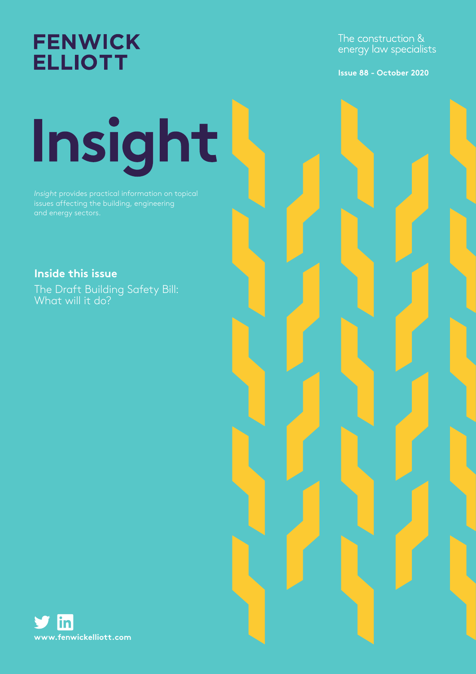**FENWICK ELLIOTT** 

The construction & energy law specialists

**Issue 88 - October 2020**

# Insight

*Insight* provides practical information on topical issues affecting the building, engineering and energy sectors.

**Inside this issue**

The Draft Building Safety Bill: What will it do?

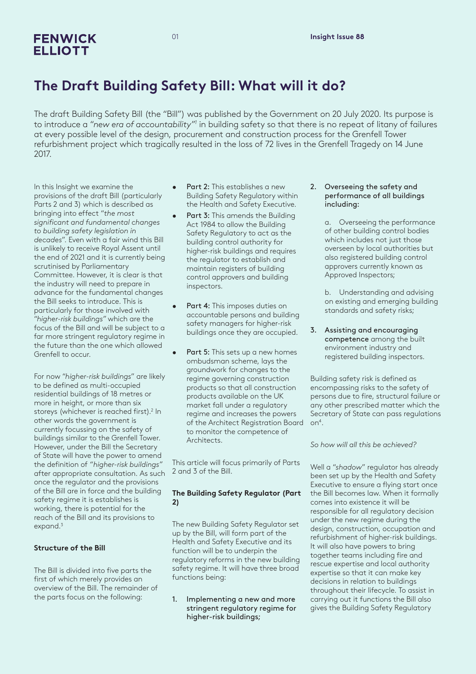### **FENWICK ELLIOTT**

# **The Draft Building Safety Bill: What will it do?**

The draft Building Safety Bill (the "Bill") was published by the Government on 20 July 2020. Its purpose is to introduce a "new era of accountability"<sup>1</sup> in building safety so that there is no repeat of litany of failures at every possible level of the design, procurement and construction process for the Grenfell Tower refurbishment project which tragically resulted in the loss of 72 lives in the Grenfell Tragedy on 14 June 2017.

In this Insight we examine the provisions of the draft Bill (particularly Parts 2 and 3) which is described as bringing into effect "*the most significant and fundamental changes to building safety legislation in decades*". Even with a fair wind this Bill is unlikely to receive Royal Assent until the end of 2021 and it is currently being scrutinised by Parliamentary Committee. However, it is clear is that the industry will need to prepare in advance for the fundamental changes the Bill seeks to introduce. This is particularly for those involved with "*higher-risk buildings"* which are the focus of the Bill and will be subject to a far more stringent regulatory regime in the future than the one which allowed Grenfell to occur.

For now "*higher-risk buildings*" are likely to be defined as multi-occupied residential buildings of 18 metres or more in height, or more than six storeys (whichever is reached first).<sup>2</sup> In other words the government is currently focussing on the safety of buildings similar to the Grenfell Tower. However, under the Bill the Secretary of State will have the power to amend the definition of *"higher-risk buildings"* after appropriate consultation. As such once the regulator and the provisions of the Bill are in force and the building safety regime it is establishes is working, there is potential for the reach of the Bill and its provisions to expand.<sup>3</sup>

#### **Structure of the Bill**

The Bill is divided into five parts the first of which merely provides an overview of the Bill. The remainder of the parts focus on the following:

- Part 2: This establishes a new Building Safety Regulatory within the Health and Safety Executive.
- Part 3: This amends the Building Act 1984 to allow the Building Safety Regulatory to act as the building control authority for higher-risk buildings and requires the regulator to establish and maintain registers of building control approvers and building inspectors.
- Part 4: This imposes duties on accountable persons and building safety managers for higher-risk buildings once they are occupied.
- Part 5: This sets up a new homes ombudsman scheme, lays the groundwork for changes to the regime governing construction products so that all construction products available on the UK market fall under a regulatory regime and increases the powers of the Architect Registration Board to monitor the competence of Architects.

This article will focus primarily of Parts 2 and 3 of the Bill.

#### **The Building Safety Regulator (Part 2)**

The new Building Safety Regulator set up by the Bill, will form part of the Health and Safety Executive and its function will be to underpin the regulatory reforms in the new building safety regime. It will have three broad functions being:

1. Implementing a new and more stringent regulatory regime for higher-risk buildings;

#### 2. Overseeing the safety and performance of all buildings including:

a. Overseeing the performance of other building control bodies which includes not just those overseen by local authorities but also registered building control approvers currently known as Approved Inspectors;

b. Understanding and advising on existing and emerging building standards and safety risks;

3. Assisting and encouraging competence among the built environment industry and registered building inspectors.

Building safety risk is defined as encompassing risks to the safety of persons due to fire, structural failure or any other prescribed matter which the Secretary of State can pass regulations on4 .

*So how will all this be achieved?*

Well a "*shadow*" regulator has already been set up by the Health and Safety Executive to ensure a flying start once the Bill becomes law. When it formally comes into existence it will be responsible for all regulatory decision under the new regime during the design, construction, occupation and refurbishment of higher-risk buildings. It will also have powers to bring together teams including fire and rescue expertise and local authority expertise so that it can make key decisions in relation to buildings throughout their lifecycle. To assist in carrying out it functions the Bill also gives the Building Safety Regulatory

01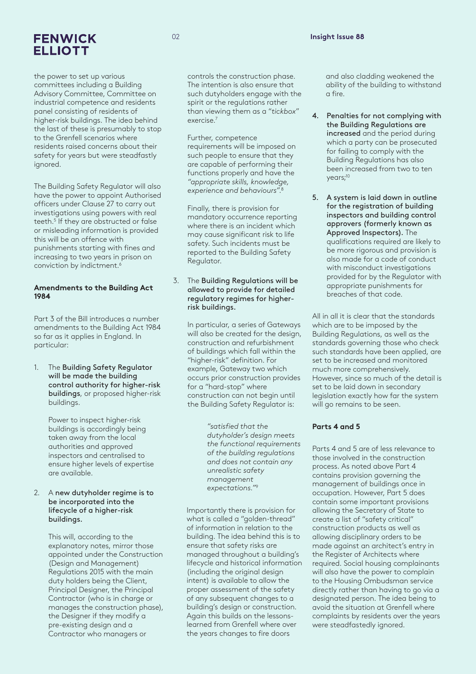## **FENWICK ELLIOTT**

the power to set up various committees including a Building Advisory Committee, Committee on industrial competence and residents panel consisting of residents of higher-risk buildings. The idea behind the last of these is presumably to stop to the Grenfell scenarios where residents raised concerns about their safety for years but were steadfastly ignored.

The Building Safety Regulator will also have the power to appoint Authorised officers under Clause 27 to carry out investigations using powers with real teeth.<sup>5</sup> If they are obstructed or false or misleading information is provided this will be an offence with punishments starting with fines and increasing to two years in prison on conviction by indictment.6

#### **Amendments to the Building Act 1984**

Part 3 of the Bill introduces a number amendments to the Building Act 1984 so far as it applies in England. In particular:

1. The Building Safety Regulator will be made the building control authority for higher-risk buildings, or proposed higher-risk buildings.

> Power to inspect higher-risk buildings is accordingly being taken away from the local authorities and approved inspectors and centralised to ensure higher levels of expertise are available.

#### 2. A new dutyholder regime is to be incorporated into the lifecycle of a higher-risk buildings.

This will, according to the explanatory notes, mirror those appointed under the Construction (Design and Management) Regulations 2015 with the main duty holders being the Client, Principal Designer, the Principal Contractor (who is in charge or manages the construction phase), the Designer if they modify a pre-existing design and a Contractor who managers or

controls the construction phase. The intention is also ensure that such dutyholders engage with the spirit or the regulations rather than viewing them as a "*tickbox*" exercise.7

Further, competence requirements will be imposed on such people to ensure that they are capable of performing their functions properly and have the *"appropriate skills, knowledge, experience and behaviours"*. 8

Finally, there is provision for mandatory occurrence reporting where there is an incident which may cause significant risk to life safety. Such incidents must be reported to the Building Safety Regulator.

#### 3. The Building Regulations will be allowed to provide for detailed regulatory regimes for higherrisk buildings.

In particular, a series of Gateways will also be created for the design, construction and refurbishment of buildings which fall within the "higher-risk" definition. For example, Gateway two which occurs prior construction provides for a "hard-stop" where construction can not begin until the Building Safety Regulator is:

> *"satisfied that the dutyholder's design meets the functional requirements of the building regulations and does not contain any unrealistic safety management expectations."*<sup>9</sup>

Importantly there is provision for what is called a "golden-thread" of information in relation to the building. The idea behind this is to ensure that safety risks are managed throughout a building's lifecycle and historical information (including the original design intent) is available to allow the proper assessment of the safety of any subsequent changes to a building's design or construction. Again this builds on the lessonslearned from Grenfell where over the years changes to fire doors

and also cladding weakened the ability of the building to withstand a fire.

- 4. Penalties for not complying with the Building Regulations are increased and the period during which a party can be prosecuted for failing to comply with the Building Regulations has also been increased from two to ten years;<sup>10</sup>
- 5. A system is laid down in outline for the registration of building inspectors and building control approvers (formerly known as Approved Inspectors). The qualifications required are likely to be more rigorous and provision is also made for a code of conduct with misconduct investigations provided for by the Regulator with appropriate punishments for breaches of that code.

All in all it is clear that the standards which are to be imposed by the Building Regulations, as well as the standards governing those who check such standards have been applied, are set to be increased and monitored much more comprehensively. However, since so much of the detail is set to be laid down in secondary legislation exactly how far the system will go remains to be seen.

#### **Parts 4 and 5**

Parts 4 and 5 are of less relevance to those involved in the construction process. As noted above Part 4 contains provision governing the management of buildings once in occupation. However, Part 5 does contain some important provisions allowing the Secretary of State to create a list of "safety critical" construction products as well as allowing disciplinary orders to be made against an architect's entry in the Register of Architects where required. Social housing complainants will also have the power to complain to the Housing Ombudsman service directly rather than having to go via a designated person. The idea being to avoid the situation at Grenfell where complaints by residents over the years were steadfastedly ignored.

 $\Omega$